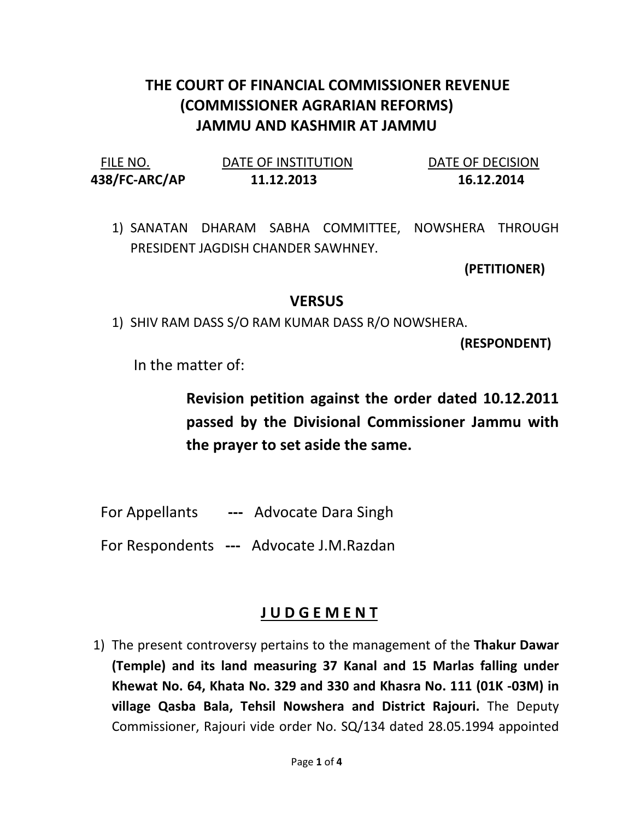## THE COURT OF FINANCIAL COMMISSIONER REVENUE (COMMISSIONER AGRARIAN REFORMS) JAMMU AND KASHMIR AT JAMMU

| FILE NO.      | DATE OF INSTITUTION | DATE OF DECISION |
|---------------|---------------------|------------------|
| 438/FC-ARC/AP | 11.12.2013          | 16.12.2014       |

1) SANATAN DHARAM SABHA COMMITTEE, NOWSHERA THROUGH PRESIDENT JAGDISH CHANDER SAWHNEY.

(PETITIONER)

## **VERSUS**

1) SHIV RAM DASS S/O RAM KUMAR DASS R/O NOWSHERA.

(RESPONDENT)

In the matter of:

Revision petition against the order dated 10.12.2011 passed by the Divisional Commissioner Jammu with the prayer to set aside the same.

For Appellants --- Advocate Dara Singh

For Respondents --- Advocate J.M.Razdan

## J U D G E M E N T

1) The present controversy pertains to the management of the Thakur Dawar (Temple) and its land measuring 37 Kanal and 15 Marlas falling under Khewat No. 64, Khata No. 329 and 330 and Khasra No. 111 (01K -03M) in village Qasba Bala, Tehsil Nowshera and District Rajouri. The Deputy Commissioner, Rajouri vide order No. SQ/134 dated 28.05.1994 appointed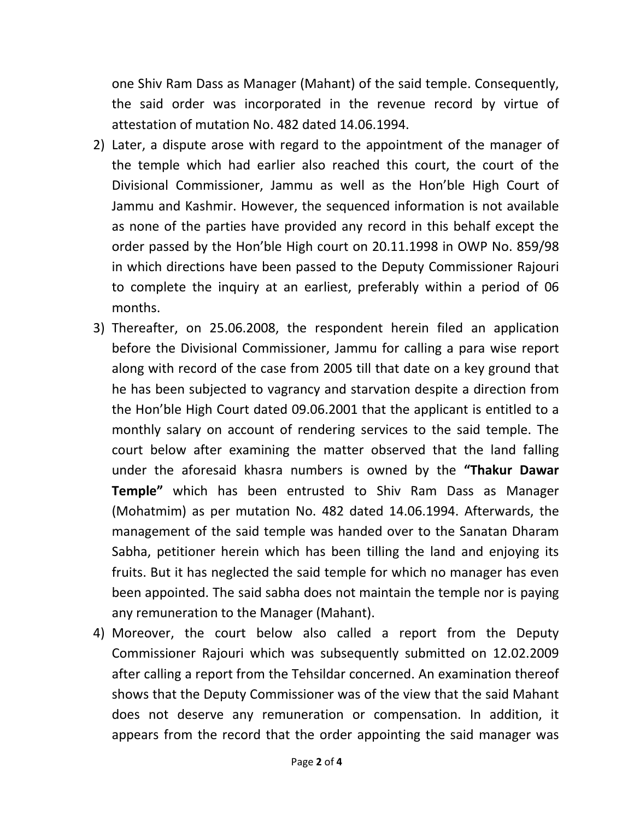one Shiv Ram Dass as Manager (Mahant) of the said temple. Consequently, the said order was incorporated in the revenue record by virtue of attestation of mutation No. 482 dated 14.06.1994.

- 2) Later, a dispute arose with regard to the appointment of the manager of the temple which had earlier also reached this court, the court of the Divisional Commissioner, Jammu as well as the Hon'ble High Court of Jammu and Kashmir. However, the sequenced information is not available as none of the parties have provided any record in this behalf except the order passed by the Hon'ble High court on 20.11.1998 in OWP No. 859/98 in which directions have been passed to the Deputy Commissioner Rajouri to complete the inquiry at an earliest, preferably within a period of 06 months.
- 3) Thereafter, on 25.06.2008, the respondent herein filed an application before the Divisional Commissioner, Jammu for calling a para wise report along with record of the case from 2005 till that date on a key ground that he has been subjected to vagrancy and starvation despite a direction from the Hon'ble High Court dated 09.06.2001 that the applicant is entitled to a monthly salary on account of rendering services to the said temple. The court below after examining the matter observed that the land falling under the aforesaid khasra numbers is owned by the "Thakur Dawar Temple" which has been entrusted to Shiv Ram Dass as Manager (Mohatmim) as per mutation No. 482 dated 14.06.1994. Afterwards, the management of the said temple was handed over to the Sanatan Dharam Sabha, petitioner herein which has been tilling the land and enjoying its fruits. But it has neglected the said temple for which no manager has even been appointed. The said sabha does not maintain the temple nor is paying any remuneration to the Manager (Mahant).
- 4) Moreover, the court below also called a report from the Deputy Commissioner Rajouri which was subsequently submitted on 12.02.2009 after calling a report from the Tehsildar concerned. An examination thereof shows that the Deputy Commissioner was of the view that the said Mahant does not deserve any remuneration or compensation. In addition, it appears from the record that the order appointing the said manager was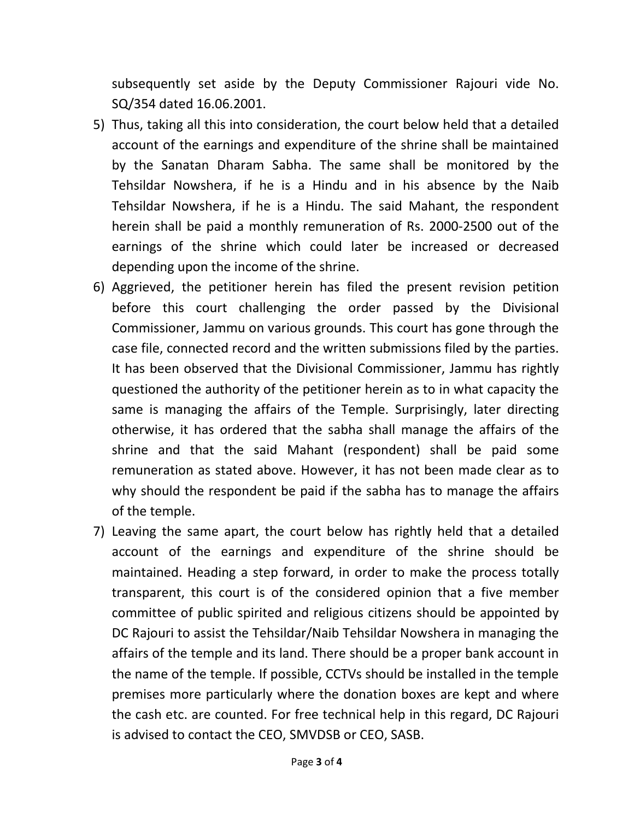subsequently set aside by the Deputy Commissioner Rajouri vide No. SQ/354 dated 16.06.2001.

- 5) Thus, taking all this into consideration, the court below held that a detailed account of the earnings and expenditure of the shrine shall be maintained by the Sanatan Dharam Sabha. The same shall be monitored by the Tehsildar Nowshera, if he is a Hindu and in his absence by the Naib Tehsildar Nowshera, if he is a Hindu. The said Mahant, the respondent herein shall be paid a monthly remuneration of Rs. 2000-2500 out of the earnings of the shrine which could later be increased or decreased depending upon the income of the shrine.
- 6) Aggrieved, the petitioner herein has filed the present revision petition before this court challenging the order passed by the Divisional Commissioner, Jammu on various grounds. This court has gone through the case file, connected record and the written submissions filed by the parties. It has been observed that the Divisional Commissioner, Jammu has rightly questioned the authority of the petitioner herein as to in what capacity the same is managing the affairs of the Temple. Surprisingly, later directing otherwise, it has ordered that the sabha shall manage the affairs of the shrine and that the said Mahant (respondent) shall be paid some remuneration as stated above. However, it has not been made clear as to why should the respondent be paid if the sabha has to manage the affairs of the temple.
- 7) Leaving the same apart, the court below has rightly held that a detailed account of the earnings and expenditure of the shrine should be maintained. Heading a step forward, in order to make the process totally transparent, this court is of the considered opinion that a five member committee of public spirited and religious citizens should be appointed by DC Rajouri to assist the Tehsildar/Naib Tehsildar Nowshera in managing the affairs of the temple and its land. There should be a proper bank account in the name of the temple. If possible, CCTVs should be installed in the temple premises more particularly where the donation boxes are kept and where the cash etc. are counted. For free technical help in this regard, DC Rajouri is advised to contact the CEO, SMVDSB or CEO, SASB.